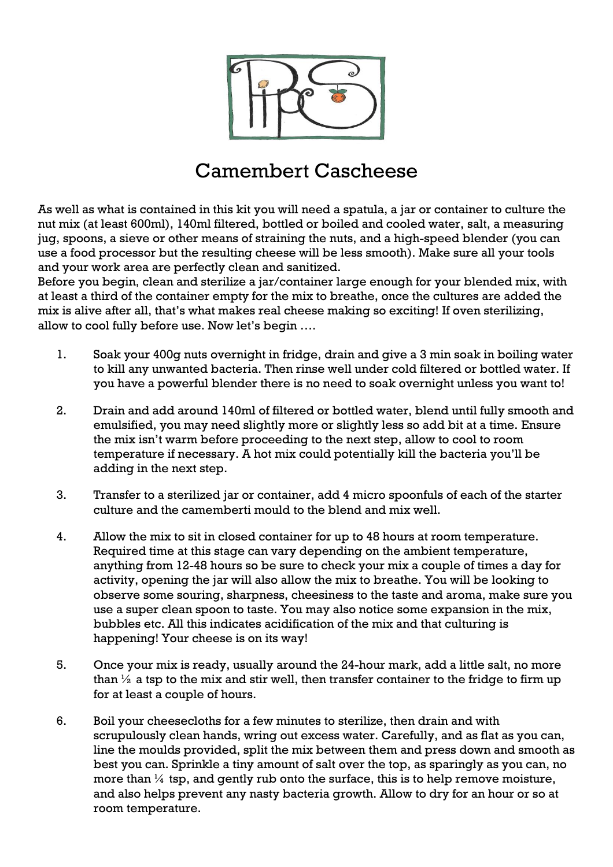

## Camembert Cascheese

As well as what is contained in this kit you will need a spatula, a jar or container to culture the nut mix (at least 600ml), 140ml filtered, bottled or boiled and cooled water, salt, a measuring jug, spoons, a sieve or other means of straining the nuts, and a high-speed blender (you can use a food processor but the resulting cheese will be less smooth). Make sure all your tools and your work area are perfectly clean and sanitized.

Before you begin, clean and sterilize a jar/container large enough for your blended mix, with at least a third of the container empty for the mix to breathe, once the cultures are added the mix is alive after all, that's what makes real cheese making so exciting! If oven sterilizing, allow to cool fully before use. Now let's begin ….

- 1. Soak your 400g nuts overnight in fridge, drain and give a 3 min soak in boiling water to kill any unwanted bacteria. Then rinse well under cold filtered or bottled water. If you have a powerful blender there is no need to soak overnight unless you want to!
- 2. Drain and add around 140ml of filtered or bottled water, blend until fully smooth and emulsified, you may need slightly more or slightly less so add bit at a time. Ensure the mix isn't warm before proceeding to the next step, allow to cool to room temperature if necessary. A hot mix could potentially kill the bacteria you'll be adding in the next step.
- 3. Transfer to a sterilized jar or container, add 4 micro spoonfuls of each of the starter culture and the camemberti mould to the blend and mix well.
- 4. Allow the mix to sit in closed container for up to 48 hours at room temperature. Required time at this stage can vary depending on the ambient temperature, anything from 12-48 hours so be sure to check your mix a couple of times a day for activity, opening the jar will also allow the mix to breathe. You will be looking to observe some souring, sharpness, cheesiness to the taste and aroma, make sure you use a super clean spoon to taste. You may also notice some expansion in the mix, bubbles etc. All this indicates acidification of the mix and that culturing is happening! Your cheese is on its way!
- 5. Once your mix is ready, usually around the 24-hour mark, add a little salt, no more than  $\frac{1}{2}$  a tsp to the mix and stir well, then transfer container to the fridge to firm up for at least a couple of hours.
- 6. Boil your cheesecloths for a few minutes to sterilize, then drain and with scrupulously clean hands, wring out excess water. Carefully, and as flat as you can, line the moulds provided, split the mix between them and press down and smooth as best you can. Sprinkle a tiny amount of salt over the top, as sparingly as you can, no more than  $\frac{1}{4}$  tsp, and gently rub onto the surface, this is to help remove moisture, and also helps prevent any nasty bacteria growth. Allow to dry for an hour or so at room temperature.